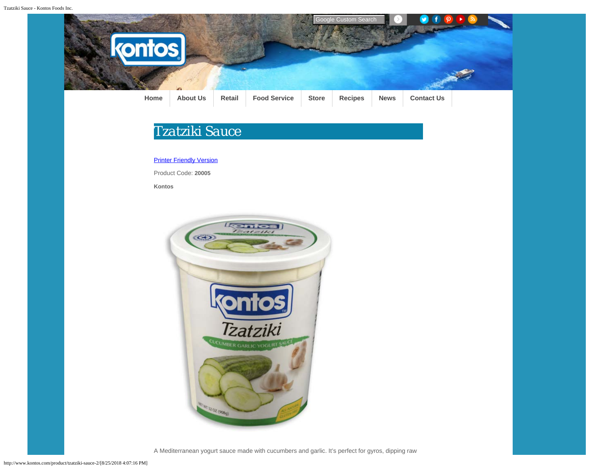

## *Tzatziki Sauce*

[Printer Friendly Version](javascript:window.print())

Product Code: **20005**

**Kontos**



A Mediterranean yogurt sauce made with cucumbers and garlic. It's perfect for gyros, dipping raw

http://www.kontos.com/product/tzatziki-sauce-2/[8/25/2018 4:07:16 PM]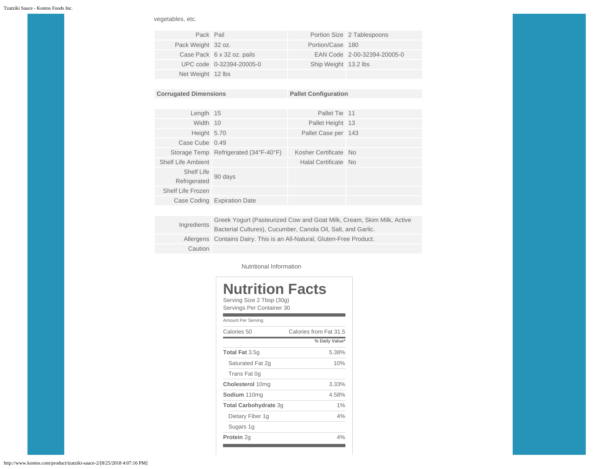vegetables, etc.

| Pack Pail          |                            |                      | Portion Size 2 Tablespoons  |
|--------------------|----------------------------|----------------------|-----------------------------|
| Pack Weight 32 oz. |                            | Portion/Case 180     |                             |
|                    | Case Pack 6 x 32 oz. pails |                      | EAN Code 2-00-32394-20005-0 |
|                    | UPC code 0-32394-20005-0   | Ship Weight 13.2 lbs |                             |
| Net Weight 12 lbs  |                            |                      |                             |

| <b>Corrugated Dimensions</b> |                                       | <b>Pallet Configuration</b> |  |
|------------------------------|---------------------------------------|-----------------------------|--|
|                              |                                       |                             |  |
| Length 15                    |                                       | Pallet Tie 11               |  |
| Width 10                     |                                       | Pallet Height 13            |  |
| Height 5.70                  |                                       | Pallet Case per 143         |  |
| Case Cube 0.49               |                                       |                             |  |
|                              | Storage Temp Refrigerated (34°F-40°F) | Kosher Certificate No       |  |
| <b>Shelf Life Ambient</b>    |                                       | Halal Certificate No        |  |
| Shelf Life<br>Refrigerated   | 90 days                               |                             |  |
| Shelf Life Frozen            |                                       |                             |  |
|                              | Case Coding Expiration Date           |                             |  |
|                              |                                       |                             |  |

| Ingredients | Greek Yogurt (Pasteurized Cow and Goat Milk, Cream, Skim Milk, Active  |
|-------------|------------------------------------------------------------------------|
|             | Bacterial Cultures), Cucumber, Canola Oil, Salt, and Garlic.           |
|             | Allergens Contains Dairy. This is an All-Natural, Gluten-Free Product. |
| Caution     |                                                                        |

Nutritional Information

| Nutrition Facts<br>Serving Size 2 Tbsp (30g)<br>Servings Per Container 30 |                        |  |
|---------------------------------------------------------------------------|------------------------|--|
| Amount Per Serving                                                        |                        |  |
| Calories 50                                                               | Calories from Fat 31.5 |  |
|                                                                           | % Daily Value*         |  |
| <b>Total Fat 3.5g</b>                                                     | 5.38%                  |  |
| Saturated Fat 2g                                                          | 10%                    |  |
| Trans Fat 0q                                                              |                        |  |
| Cholesterol 10mg                                                          | 3.33%                  |  |
| Sodium 110mg                                                              | 4.58%                  |  |
| Total Carbohydrate 3g                                                     | 1%                     |  |
| Dietary Fiber 1g                                                          | 4%                     |  |
| Sugars 1g                                                                 |                        |  |
| Protein 2g                                                                | 4%                     |  |

http://www.kontos.com/product/tzatziki-sauce-2/[8/25/2018 4:07:16 PM]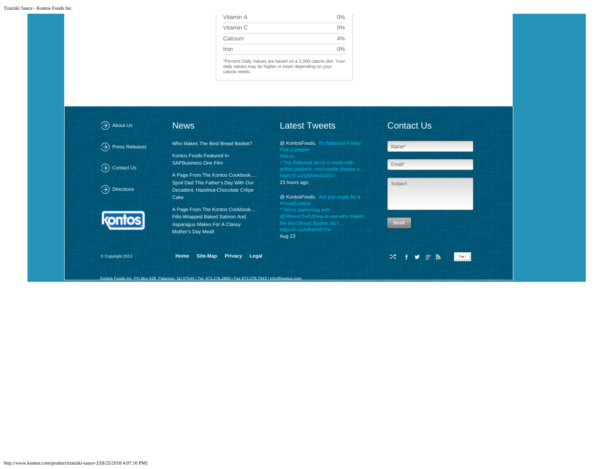| Vitamin A | $0\%$ |
|-----------|-------|
| Vitamin C | $0\%$ |
| Calcium   | 4%    |
| Iron      | 0%    |

\*Percent Daily Values are based on a 2,000 calorie diet. Your daily values may be higher or lower depending on your calorie needs.